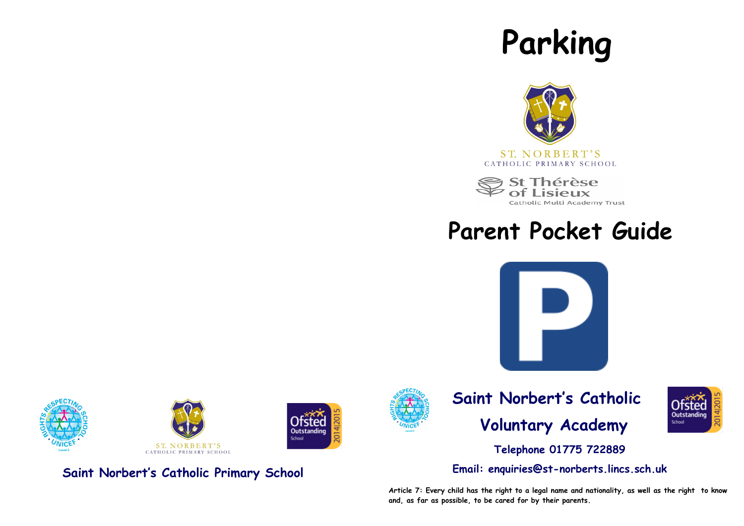# **Parking**



**St Thérèse** of Lisieux

# **Parent Pocket Guide**

Catholic Multi Academy Trust







**Saint Norbert's Catholic Primary School**



**Outstanding** School

### **Saint Norbert's Catholic Voluntary Academy**



**Telephone 01775 722889**

**Email: enquiries@st-norberts.lincs.sch.uk**

**Article 7: Every child has the right to a legal name and nationality, as well as the right to know and, as far as possible, to be cared for by their parents.**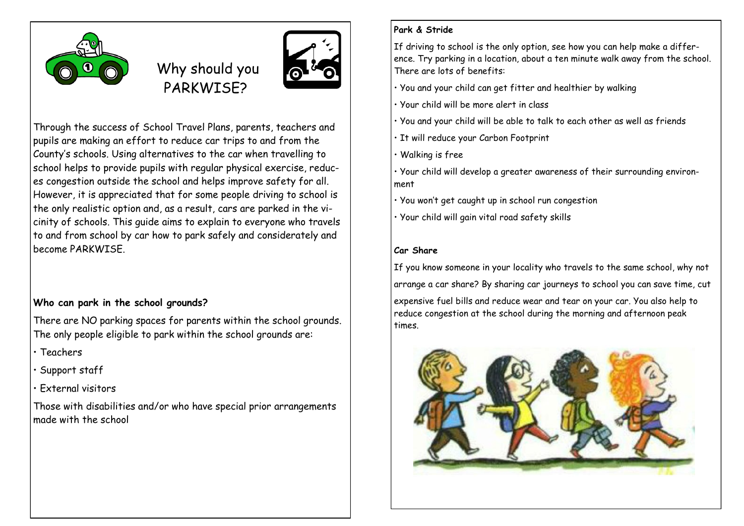

Why should you PARKWISE?



Through the success of School Travel Plans, parents, teachers and pupils are making an effort to reduce car trips to and from the County's schools. Using alternatives to the car when travelling to school helps to provide pupils with regular physical exercise, reduces congestion outside the school and helps improve safety for all. However, it is appreciated that for some people driving to school is the only realistic option and, as a result, cars are parked in the vicinity of schools. This guide aims to explain to everyone who travels to and from school by car how to park safely and considerately and become PARKWISE.

#### **Who can park in the school grounds?**

There are NO parking spaces for parents within the school grounds. The only people eligible to park within the school grounds are:

- Teachers
- Support staff
- External visitors

Those with disabilities and/or who have special prior arrangements made with the school

#### **Park & Stride**

If driving to school is the only option, see how you can help make a difference. Try parking in a location, about a ten minute walk away from the school. There are lots of benefits:

• You and your child can get fitter and healthier by walking

- Your child will be more alert in class
- You and your child will be able to talk to each other as well as friends
- It will reduce your Carbon Footprint
- Walking is free
- Your child will develop a greater awareness of their surrounding environment
- You won't get caught up in school run congestion
- Your child will gain vital road safety skills

#### **Car Share**

If you know someone in your locality who travels to the same school, why not arrange a car share? By sharing car journeys to school you can save time, cut expensive fuel bills and reduce wear and tear on your car. You also help to reduce congestion at the school during the morning and afternoon peak times.

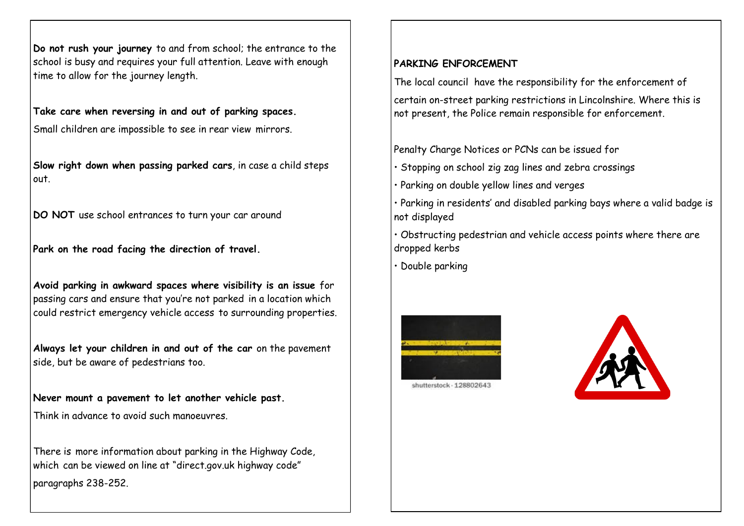**Do not rush your journey** to and from school; the entrance to the school is busy and requires your full attention. Leave with enough time to allow for the journey length.

**Take care when reversing in and out of parking spaces.** 

Small children are impossible to see in rear view mirrors.

**Slow right down when passing parked cars**, in case a child steps out.

**DO NOT** use school entrances to turn your car around

**Park on the road facing the direction of travel.**

**Avoid parking in awkward spaces where visibility is an issue** for passing cars and ensure that you're not parked in a location which could restrict emergency vehicle access to surrounding properties.

**Always let your children in and out of the car** on the pavement side, but be aware of pedestrians too.

**Never mount a pavement to let another vehicle past.** 

Think in advance to avoid such manoeuvres.

There is more information about parking in the Highway Code, which can be viewed on line at "direct.gov.uk highway code" paragraphs 238-252.

#### **PARKING ENFORCEMENT**

The local council have the responsibility for the enforcement of

certain on-street parking restrictions in Lincolnshire. Where this is not present, the Police remain responsible for enforcement.

Penalty Charge Notices or PCNs can be issued for

- Stopping on school zig zag lines and zebra crossings
- Parking on double yellow lines and verges
- Parking in residents' and disabled parking bays where a valid badge is not displayed
- Obstructing pedestrian and vehicle access points where there are dropped kerbs
- Double parking





shutterstock - 12880264